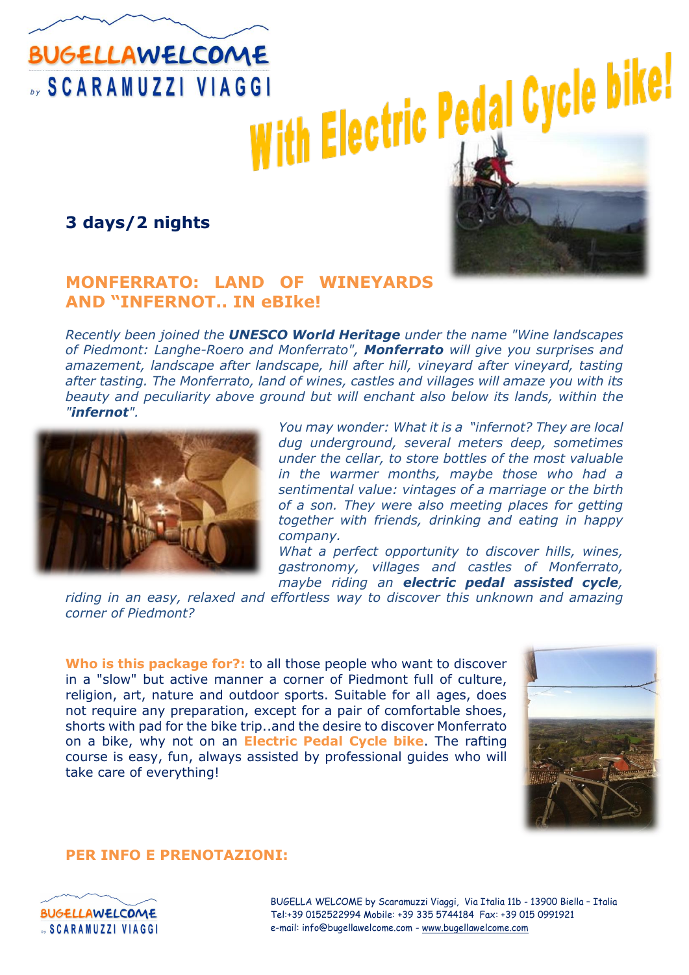# **BUGELLAWELCOME SCARAMUZZI VIAGGI**

**3 days/2 nights**



## **MONFERRATO: LAND OF WINEYARDS AND "INFERNOT.. IN eBIke!**

*Recently been joined the UNESCO World Heritage under the name "Wine landscapes of Piedmont: Langhe-Roero and Monferrato", Monferrato will give you surprises and amazement, landscape after landscape, hill after hill, vineyard after vineyard, tasting after tasting. The Monferrato, land of wines, castles and villages will amaze you with its beauty and peculiarity above ground but will enchant also below its lands, within the "infernot".*



*You may wonder: What it is a "infernot? They are local dug underground, several meters deep, sometimes under the cellar, to store bottles of the most valuable in the warmer months, maybe those who had a sentimental value: vintages of a marriage or the birth of a son. They were also meeting places for getting together with friends, drinking and eating in happy company.*

*What a perfect opportunity to discover hills, wines, gastronomy, villages and castles of Monferrato, maybe riding an electric pedal assisted cycle,* 

*riding in an easy, relaxed and effortless way to discover this unknown and amazing corner of Piedmont?*

**Who is this package for?:** to all those people who want to discover in a "slow" but active manner a corner of Piedmont full of culture, religion, art, nature and outdoor sports. Suitable for all ages, does not require any preparation, except for a pair of comfortable shoes, shorts with pad for the bike trip..and the desire to discover Monferrato on a bike, why not on an **Electric Pedal Cycle bike**. The rafting course is easy, fun, always assisted by professional guides who will take care of everything!



### **PER INFO E PRENOTAZIONI:**



BUGELLA WELCOME by Scaramuzzi Viaggi, Via Italia 11b - 13900 Biella – Italia Tel:+39 0152522994 Mobile: +39 335 5744184 Fax: +39 015 0991921 e-mail: info@bugellawelcome.com - [www.bugellawelcome.com](http://www.bugellawelcome.com/)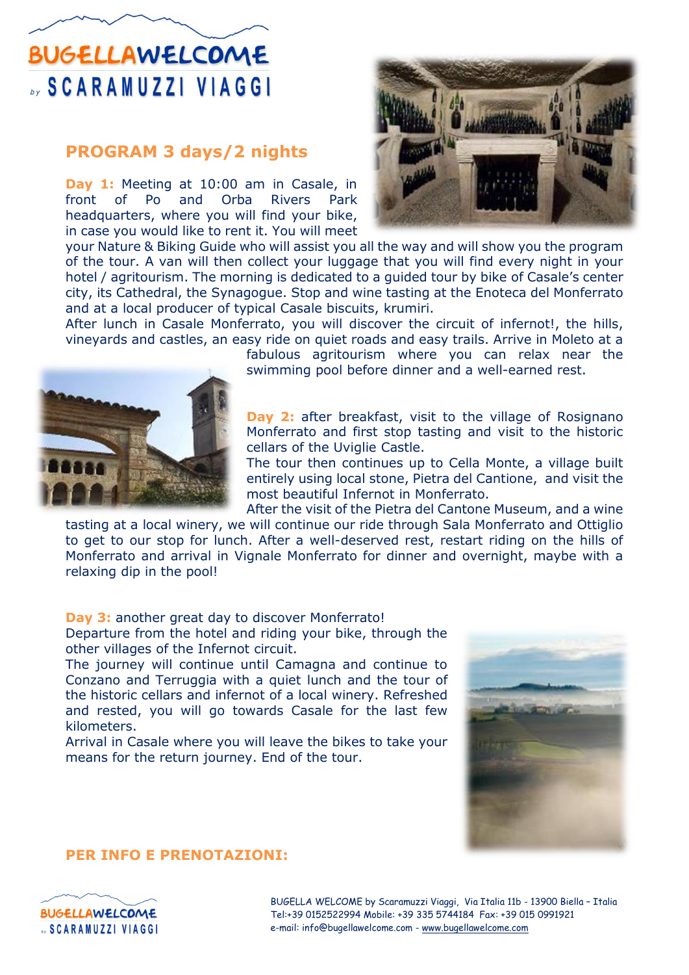## **BUGELLAWELCOME SCARAMUZZI VIAGGI**

## **PROGRAM 3 days/2 nights**

**Day 1:** Meeting at 10:00 am in Casale, in front of Po and Orba Rivers Park headquarters, where you will find your bike, in case you would like to rent it. You will meet

your Nature & Biking Guide who will assist you all the way and will show you the program of the tour. A van will then collect your luggage that you will find every night in your hotel / agritourism. The morning is dedicated to a guided tour by bike of Casale's center city, its Cathedral, the Synagogue. Stop and wine tasting at the Enoteca del Monferrato and at a local producer of typical Casale biscuits, krumiri.

After lunch in Casale Monferrato, you will discover the circuit of infernot!, the hills, vineyards and castles, an easy ride on quiet roads and easy trails. Arrive in Moleto at a



fabulous agritourism where you can relax near the swimming pool before dinner and a well-earned rest.

**Day 2:** after breakfast, visit to the village of Rosignano Monferrato and first stop tasting and visit to the historic cellars of the Uviglie Castle.

The tour then continues up to Cella Monte, a village built entirely using local stone, Pietra del Cantione, and visit the most beautiful Infernot in Monferrato.

After the visit of the Pietra del Cantone Museum, and a wine tasting at a local winery, we will continue our ride through Sala Monferrato and Ottiglio to get to our stop for lunch. After a well-deserved rest, restart riding on the hills of Monferrato and arrival in Vignale Monferrato for dinner and overnight, maybe with a relaxing dip in the pool!

#### **Day 3:** another great day to discover Monferrato!

Departure from the hotel and riding your bike, through the other villages of the Infernot circuit.

The journey will continue until Camagna and continue to Conzano and Terruggia with a quiet lunch and the tour of the historic cellars and infernot of a local winery. Refreshed and rested, you will go towards Casale for the last few kilometers.

Arrival in Casale where you will leave the bikes to take your means for the return journey. End of the tour.



### **PER INFO E PRENOTAZIONI:**



BUGELLA WELCOME by Scaramuzzi Viaggi, Via Italia 11b - 13900 Biella – Italia Tel:+39 0152522994 Mobile: +39 335 5744184 Fax: +39 015 0991921 e-mail: info@bugellawelcome.com - [www.bugellawelcome.com](http://www.bugellawelcome.com/)